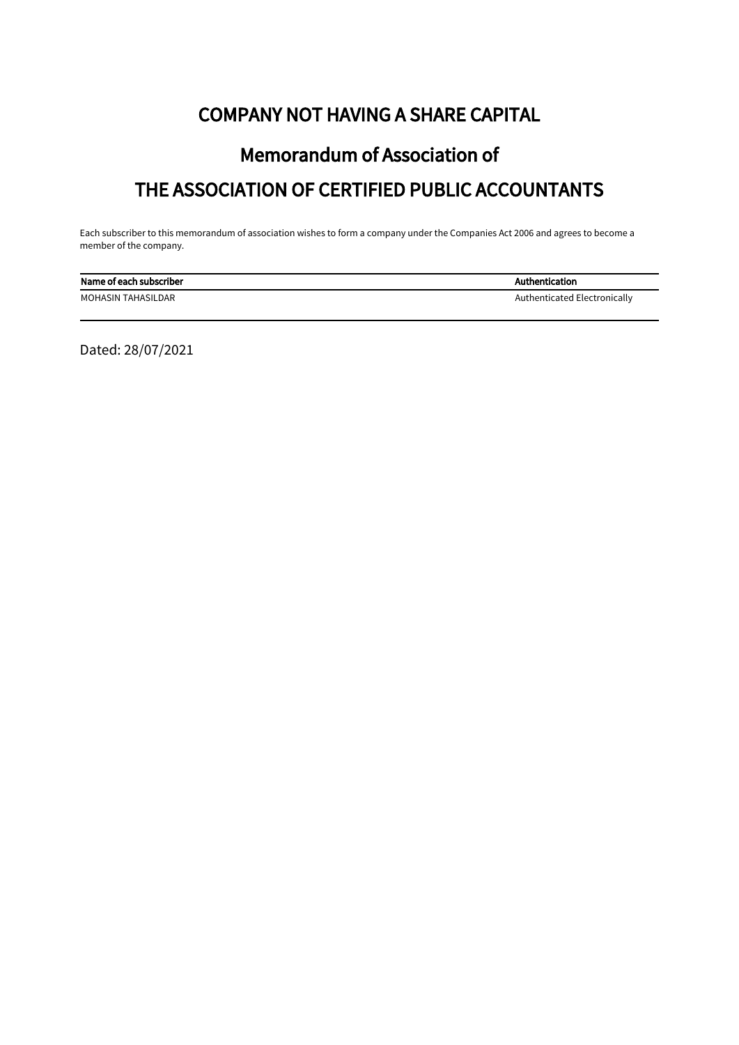## COMPANY NOT HAVING A SHARE CAPITAL

# Memorandum of Association of THE ASSOCIATION OF CERTIFIED PUBLIC ACCOUNTANTS

Each subscriber to this memorandum of association wishes to form a company under the Companies Act 2006 and agrees to become a member of the company.

| Name of each subscriber | Authentication               |
|-------------------------|------------------------------|
| MOHASIN TAHASILDAR      | Authenticated Electronically |

Dated: 28/07/2021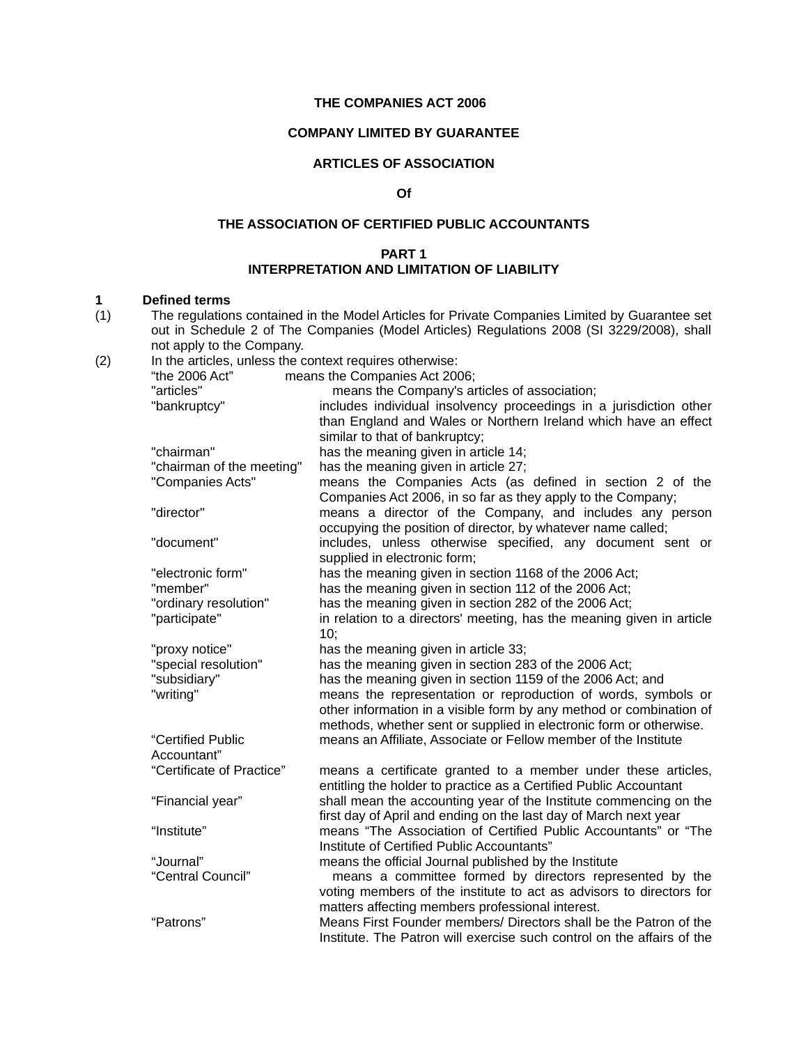#### **THE COMPANIES ACT 2006**

#### **COMPANY LIMITED BY GUARANTEE**

#### **ARTICLES OF ASSOCIATION**

#### **Of**

#### **THE ASSOCIATION OF CERTIFIED PUBLIC ACCOUNTANTS**

#### **PART 1 INTERPRETATION AND LIMITATION OF LIABILITY**

**1 Defined terms**  The regulations contained in the Model Articles for Private Companies Limited by Guarantee set out in Schedule 2 of The Companies (Model Articles) Regulations 2008 (SI 3229/2008), shall not apply to the Company.

|     |                                                         | out in Schedule 2 of The Companies (Model Articles) Regulations 2008 (SI 3229/2008), shall |  |
|-----|---------------------------------------------------------|--------------------------------------------------------------------------------------------|--|
|     | not apply to the Company.                               |                                                                                            |  |
| (2) | In the articles, unless the context requires otherwise: |                                                                                            |  |
|     | means the Companies Act 2006;<br>"the 2006 Act"         |                                                                                            |  |
|     | "articles"                                              | means the Company's articles of association;                                               |  |
|     | "bankruptcy"                                            | includes individual insolvency proceedings in a jurisdiction other                         |  |
|     |                                                         | than England and Wales or Northern Ireland which have an effect                            |  |
|     |                                                         | similar to that of bankruptcy;                                                             |  |
|     | "chairman"                                              | has the meaning given in article 14;                                                       |  |
|     | "chairman of the meeting"                               | has the meaning given in article 27;                                                       |  |
|     | "Companies Acts"                                        | means the Companies Acts (as defined in section 2 of the                                   |  |
|     |                                                         | Companies Act 2006, in so far as they apply to the Company;                                |  |
|     | "director"                                              | means a director of the Company, and includes any person                                   |  |
|     |                                                         | occupying the position of director, by whatever name called;                               |  |
|     | "document"                                              | includes, unless otherwise specified, any document sent or                                 |  |
|     |                                                         | supplied in electronic form;                                                               |  |
|     | "electronic form"                                       | has the meaning given in section 1168 of the 2006 Act;                                     |  |
|     | "member"                                                | has the meaning given in section 112 of the 2006 Act;                                      |  |
|     | "ordinary resolution"                                   | has the meaning given in section 282 of the 2006 Act;                                      |  |
|     | "participate"                                           | in relation to a directors' meeting, has the meaning given in article                      |  |
|     |                                                         | 10;                                                                                        |  |
|     | "proxy notice"                                          | has the meaning given in article 33;                                                       |  |
|     | "special resolution"                                    | has the meaning given in section 283 of the 2006 Act;                                      |  |
|     | "subsidiary"                                            | has the meaning given in section 1159 of the 2006 Act; and                                 |  |
|     | "writing"                                               | means the representation or reproduction of words, symbols or                              |  |
|     |                                                         | other information in a visible form by any method or combination of                        |  |
|     |                                                         | methods, whether sent or supplied in electronic form or otherwise.                         |  |
|     | "Certified Public                                       | means an Affiliate, Associate or Fellow member of the Institute                            |  |
|     | Accountant"                                             |                                                                                            |  |
|     | "Certificate of Practice"                               | means a certificate granted to a member under these articles,                              |  |
|     |                                                         | entitling the holder to practice as a Certified Public Accountant                          |  |
|     | "Financial year"                                        | shall mean the accounting year of the Institute commencing on the                          |  |
|     |                                                         | first day of April and ending on the last day of March next year                           |  |
|     | "Institute"                                             | means "The Association of Certified Public Accountants" or "The                            |  |
|     |                                                         | Institute of Certified Public Accountants"                                                 |  |
|     | "Journal"                                               | means the official Journal published by the Institute                                      |  |
|     | "Central Council"                                       | means a committee formed by directors represented by the                                   |  |
|     |                                                         | voting members of the institute to act as advisors to directors for                        |  |
|     |                                                         | matters affecting members professional interest.                                           |  |
|     |                                                         | $\mathbf{u}$ and $\mathbf{u}$ and $\mathbf{u}$ and $\mathbf{u}$                            |  |

"Patrons" Means First Founder members/ Directors shall be the Patron of the Institute. The Patron will exercise such control on the affairs of the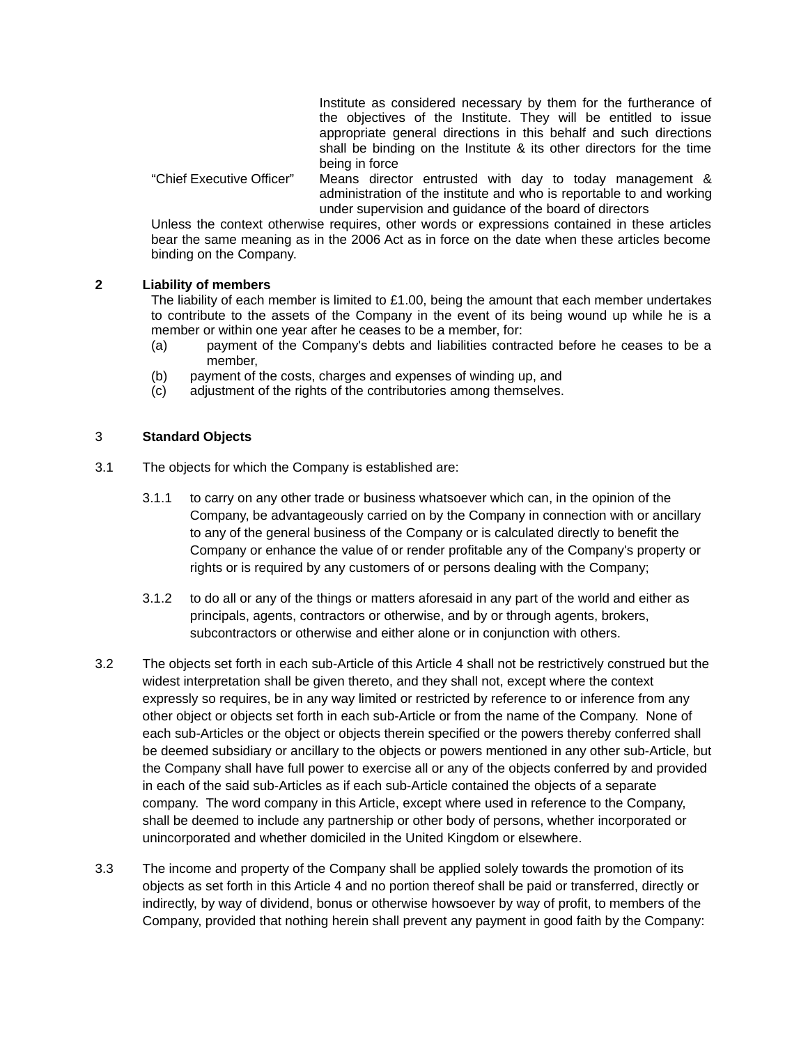Institute as considered necessary by them for the furtherance of the objectives of the Institute. They will be entitled to issue appropriate general directions in this behalf and such directions shall be binding on the Institute & its other directors for the time being in force

"Chief Executive Officer" Means director entrusted with day to today management & administration of the institute and who is reportable to and working under supervision and guidance of the board of directors

Unless the context otherwise requires, other words or expressions contained in these articles bear the same meaning as in the 2006 Act as in force on the date when these articles become binding on the Company.

#### **2 Liability of members**

The liability of each member is limited to £1.00, being the amount that each member undertakes to contribute to the assets of the Company in the event of its being wound up while he is a member or within one year after he ceases to be a member, for:

- (a) payment of the Company's debts and liabilities contracted before he ceases to be a member,
- (b) payment of the costs, charges and expenses of winding up, and
- (c) adjustment of the rights of the contributories among themselves.

#### 3 **Standard Objects**

- 3.1 The objects for which the Company is established are:
	- 3.1.1 to carry on any other trade or business whatsoever which can, in the opinion of the Company, be advantageously carried on by the Company in connection with or ancillary to any of the general business of the Company or is calculated directly to benefit the Company or enhance the value of or render profitable any of the Company's property or rights or is required by any customers of or persons dealing with the Company;
	- 3.1.2 to do all or any of the things or matters aforesaid in any part of the world and either as principals, agents, contractors or otherwise, and by or through agents, brokers, subcontractors or otherwise and either alone or in conjunction with others.
- 3.2 The objects set forth in each sub-Article of this Article 4 shall not be restrictively construed but the widest interpretation shall be given thereto, and they shall not, except where the context expressly so requires, be in any way limited or restricted by reference to or inference from any other object or objects set forth in each sub-Article or from the name of the Company. None of each sub-Articles or the object or objects therein specified or the powers thereby conferred shall be deemed subsidiary or ancillary to the objects or powers mentioned in any other sub-Article, but the Company shall have full power to exercise all or any of the objects conferred by and provided in each of the said sub-Articles as if each sub-Article contained the objects of a separate company. The word company in this Article, except where used in reference to the Company, shall be deemed to include any partnership or other body of persons, whether incorporated or unincorporated and whether domiciled in the United Kingdom or elsewhere.
- 3.3 The income and property of the Company shall be applied solely towards the promotion of its objects as set forth in this Article 4 and no portion thereof shall be paid or transferred, directly or indirectly, by way of dividend, bonus or otherwise howsoever by way of profit, to members of the Company, provided that nothing herein shall prevent any payment in good faith by the Company: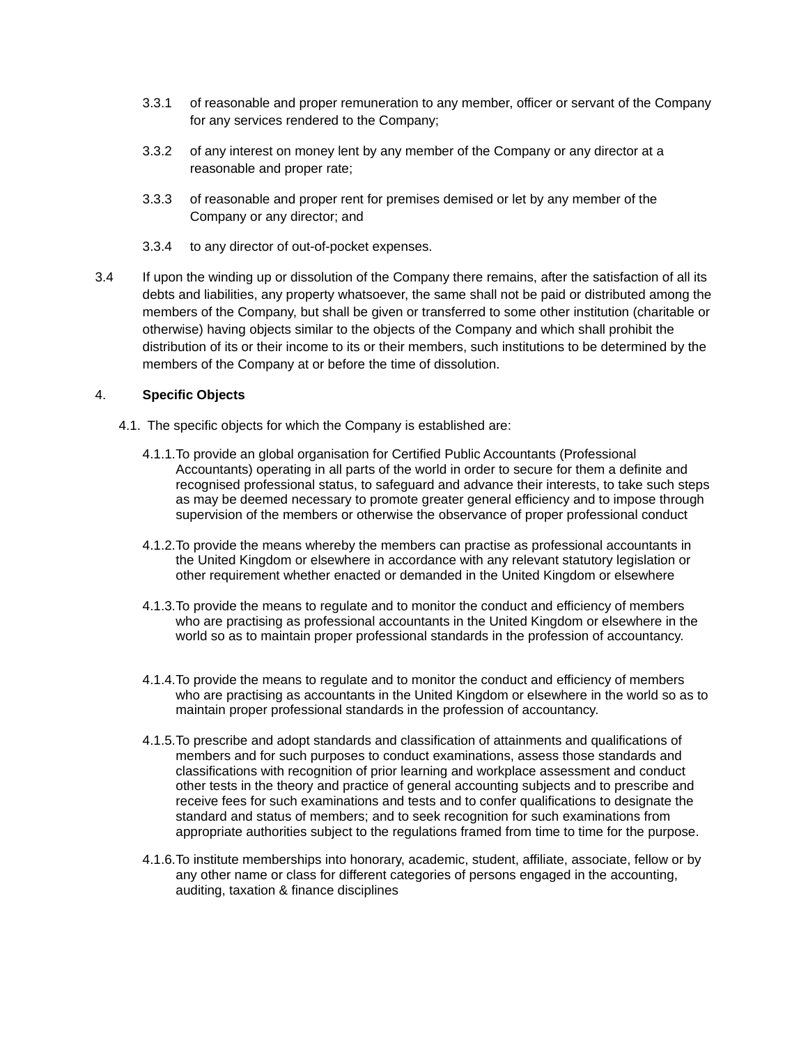- 3.3.1 of reasonable and proper remuneration to any member, officer or servant of the Company for any services rendered to the Company;
- 3.3.2 of any interest on money lent by any member of the Company or any director at a reasonable and proper rate;
- 3.3.3 of reasonable and proper rent for premises demised or let by any member of the Company or any director; and
- 3.3.4 to any director of out-of-pocket expenses.
- 3.4 If upon the winding up or dissolution of the Company there remains, after the satisfaction of all its debts and liabilities, any property whatsoever, the same shall not be paid or distributed among the members of the Company, but shall be given or transferred to some other institution (charitable or otherwise) having objects similar to the objects of the Company and which shall prohibit the distribution of its or their income to its or their members, such institutions to be determined by the members of the Company at or before the time of dissolution.

#### 4. **Specific Objects**

- 4.1. The specific objects for which the Company is established are:
	- 4.1.1.To provide an global organisation for Certified Public Accountants (Professional Accountants) operating in all parts of the world in order to secure for them a definite and recognised professional status, to safeguard and advance their interests, to take such steps as may be deemed necessary to promote greater general efficiency and to impose through supervision of the members or otherwise the observance of proper professional conduct
	- 4.1.2.To provide the means whereby the members can practise as professional accountants in the United Kingdom or elsewhere in accordance with any relevant statutory legislation or other requirement whether enacted or demanded in the United Kingdom or elsewhere
	- 4.1.3.To provide the means to regulate and to monitor the conduct and efficiency of members who are practising as professional accountants in the United Kingdom or elsewhere in the world so as to maintain proper professional standards in the profession of accountancy.
	- 4.1.4.To provide the means to regulate and to monitor the conduct and efficiency of members who are practising as accountants in the United Kingdom or elsewhere in the world so as to maintain proper professional standards in the profession of accountancy.
	- 4.1.5.To prescribe and adopt standards and classification of attainments and qualifications of members and for such purposes to conduct examinations, assess those standards and classifications with recognition of prior learning and workplace assessment and conduct other tests in the theory and practice of general accounting subjects and to prescribe and receive fees for such examinations and tests and to confer qualifications to designate the standard and status of members; and to seek recognition for such examinations from appropriate authorities subject to the regulations framed from time to time for the purpose.
	- 4.1.6.To institute memberships into honorary, academic, student, affiliate, associate, fellow or by any other name or class for different categories of persons engaged in the accounting, auditing, taxation & finance disciplines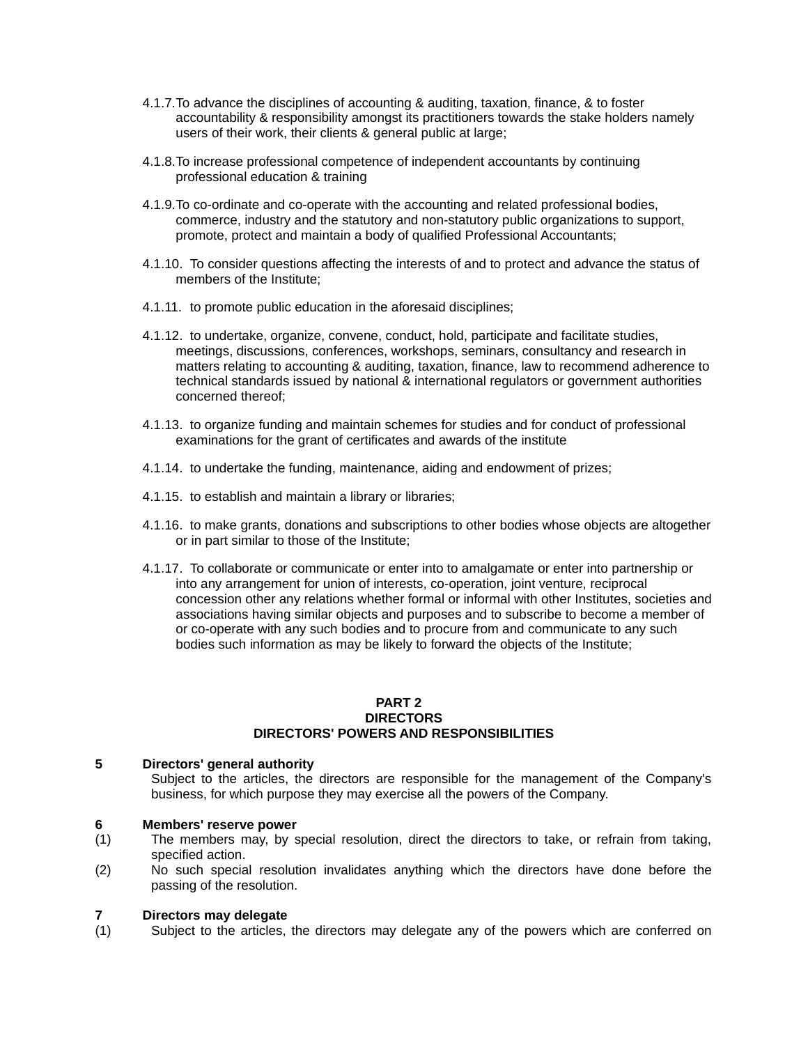- 4.1.7.To advance the disciplines of accounting & auditing, taxation, finance, & to foster accountability & responsibility amongst its practitioners towards the stake holders namely users of their work, their clients & general public at large;
- 4.1.8.To increase professional competence of independent accountants by continuing professional education & training
- 4.1.9.To co-ordinate and co-operate with the accounting and related professional bodies, commerce, industry and the statutory and non-statutory public organizations to support, promote, protect and maintain a body of qualified Professional Accountants;
- 4.1.10. To consider questions affecting the interests of and to protect and advance the status of members of the Institute;
- 4.1.11. to promote public education in the aforesaid disciplines;
- 4.1.12. to undertake, organize, convene, conduct, hold, participate and facilitate studies, meetings, discussions, conferences, workshops, seminars, consultancy and research in matters relating to accounting & auditing, taxation, finance, law to recommend adherence to technical standards issued by national & international regulators or government authorities concerned thereof;
- 4.1.13. to organize funding and maintain schemes for studies and for conduct of professional examinations for the grant of certificates and awards of the institute
- 4.1.14. to undertake the funding, maintenance, aiding and endowment of prizes;
- 4.1.15. to establish and maintain a library or libraries;
- 4.1.16. to make grants, donations and subscriptions to other bodies whose objects are altogether or in part similar to those of the Institute;
- 4.1.17. To collaborate or communicate or enter into to amalgamate or enter into partnership or into any arrangement for union of interests, co-operation, joint venture, reciprocal concession other any relations whether formal or informal with other Institutes, societies and associations having similar objects and purposes and to subscribe to become a member of or co-operate with any such bodies and to procure from and communicate to any such bodies such information as may be likely to forward the objects of the Institute;

#### **PART 2 DIRECTORS DIRECTORS' POWERS AND RESPONSIBILITIES**

#### **5 Directors' general authority**

Subiect to the articles, the directors are responsible for the management of the Company's business, for which purpose they may exercise all the powers of the Company.

#### **6 Members' reserve power**

- (1) The members may, by special resolution, direct the directors to take, or refrain from taking, specified action.
- (2) No such special resolution invalidates anything which the directors have done before the passing of the resolution.

#### **7 Directors may delegate**

(1) Subject to the articles, the directors may delegate any of the powers which are conferred on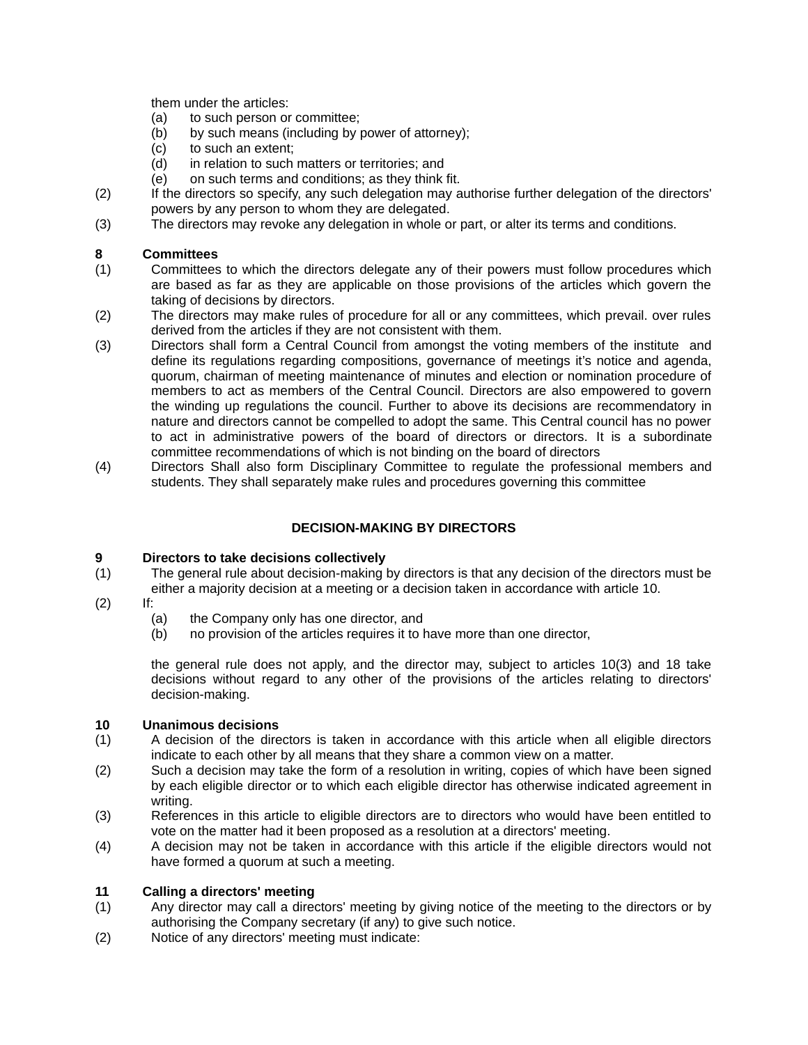them under the articles:

- (a) to such person or committee;
- (b) by such means (including by power of attorney);
- (c) to such an extent;
- (d) in relation to such matters or territories; and
- (e) on such terms and conditions; as they think fit.
- (2) If the directors so specify, any such delegation may authorise further delegation of the directors' powers by any person to whom they are delegated.
- (3) The directors may revoke any delegation in whole or part, or alter its terms and conditions.

#### **8 Committees**

- (1) Committees to which the directors delegate any of their powers must follow procedures which are based as far as they are applicable on those provisions of the articles which govern the taking of decisions by directors.
- (2) The directors may make rules of procedure for all or any committees, which prevail. over rules derived from the articles if they are not consistent with them.
- (3) Directors shall form a Central Council from amongst the voting members of the institute and define its regulations regarding compositions, governance of meetings it's notice and agenda, quorum, chairman of meeting maintenance of minutes and election or nomination procedure of members to act as members of the Central Council. Directors are also empowered to govern the winding up regulations the council. Further to above its decisions are recommendatory in nature and directors cannot be compelled to adopt the same. This Central council has no power to act in administrative powers of the board of directors or directors. It is a subordinate committee recommendations of which is not binding on the board of directors
- (4) Directors Shall also form Disciplinary Committee to regulate the professional members and students. They shall separately make rules and procedures governing this committee

#### **DECISION-MAKING BY DIRECTORS**

#### **9 Directors to take decisions collectively**

- (1) The general rule about decision-making by directors is that any decision of the directors must be either a majority decision at a meeting or a decision taken in accordance with article 10.
- (2) If:
	- (a) the Company only has one director, and
	- (b) no provision of the articles requires it to have more than one director,

the general rule does not apply, and the director may, subject to articles 10(3) and 18 take decisions without regard to any other of the provisions of the articles relating to directors' decision-making.

#### **10 Unanimous decisions**

- (1) A decision of the directors is taken in accordance with this article when all eligible directors indicate to each other by all means that they share a common view on a matter.
- (2) Such a decision may take the form of a resolution in writing, copies of which have been signed by each eligible director or to which each eligible director has otherwise indicated agreement in writing.
- (3) References in this article to eligible directors are to directors who would have been entitled to vote on the matter had it been proposed as a resolution at a directors' meeting.
- (4) A decision may not be taken in accordance with this article if the eligible directors would not have formed a quorum at such a meeting.

#### **11 Calling a directors' meeting**

- (1) Any director may call a directors' meeting by giving notice of the meeting to the directors or by authorising the Company secretary (if any) to give such notice.
- (2) Notice of any directors' meeting must indicate: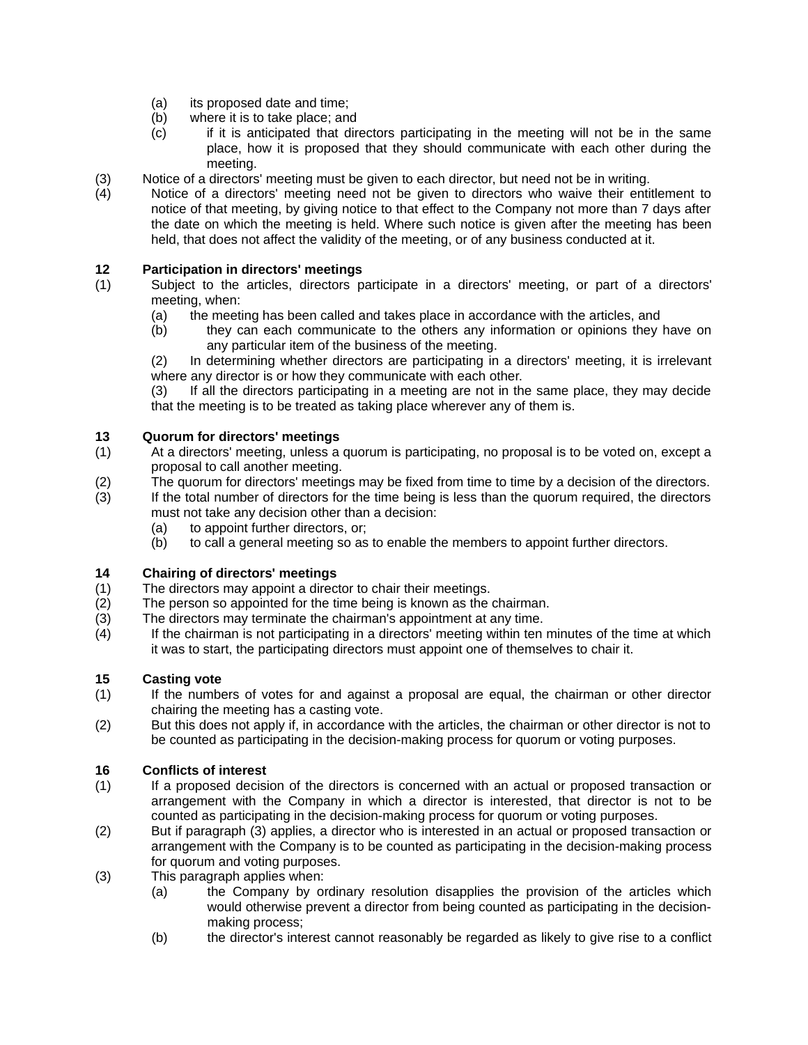- (a) its proposed date and time;
- (b) where it is to take place; and
- (c) if it is anticipated that directors participating in the meeting will not be in the same place, how it is proposed that they should communicate with each other during the meeting.
- (3) Notice of a directors' meeting must be given to each director, but need not be in writing.
- (4) Notice of a directors' meeting need not be given to directors who waive their entitlement to notice of that meeting, by giving notice to that effect to the Company not more than 7 days after the date on which the meeting is held. Where such notice is given after the meeting has been held, that does not affect the validity of the meeting, or of any business conducted at it.

#### **12 Participation in directors' meetings**

- (1) Subject to the articles, directors participate in a directors' meeting, or part of a directors' meeting, when:
	- (a) the meeting has been called and takes place in accordance with the articles, and
	- (b) they can each communicate to the others any information or opinions they have on any particular item of the business of the meeting.

(2) In determining whether directors are participating in a directors' meeting, it is irrelevant where any director is or how they communicate with each other.

(3) If all the directors participating in a meeting are not in the same place, they may decide that the meeting is to be treated as taking place wherever any of them is.

#### **13 Quorum for directors' meetings**

- (1) At a directors' meeting, unless a quorum is participating, no proposal is to be voted on, except a proposal to call another meeting.
- (2) The quorum for directors' meetings may be fixed from time to time by a decision of the directors.
- (3) If the total number of directors for the time being is less than the quorum required, the directors must not take any decision other than a decision:
	- (a) to appoint further directors, or;
	- (b) to call a general meeting so as to enable the members to appoint further directors.

### **14 Chairing of directors' meetings**

- (1) The directors may appoint a director to chair their meetings.
- (2) The person so appointed for the time being is known as the chairman.
- (3) The directors may terminate the chairman's appointment at any time.
- (4) If the chairman is not participating in a directors' meeting within ten minutes of the time at which it was to start, the participating directors must appoint one of themselves to chair it.

#### **15 Casting vote**

- (1) If the numbers of votes for and against a proposal are equal, the chairman or other director chairing the meeting has a casting vote.
- (2) But this does not apply if, in accordance with the articles, the chairman or other director is not to be counted as participating in the decision-making process for quorum or voting purposes.

#### **16 Conflicts of interest**

- (1) If a proposed decision of the directors is concerned with an actual or proposed transaction or arrangement with the Company in which a director is interested, that director is not to be counted as participating in the decision-making process for quorum or voting purposes.
- (2) But if paragraph (3) applies, a director who is interested in an actual or proposed transaction or arrangement with the Company is to be counted as participating in the decision-making process for quorum and voting purposes.
- (3) This paragraph applies when:
	- (a) the Company by ordinary resolution disapplies the provision of the articles which would otherwise prevent a director from being counted as participating in the decisionmaking process;
	- (b) the director's interest cannot reasonably be regarded as likely to give rise to a conflict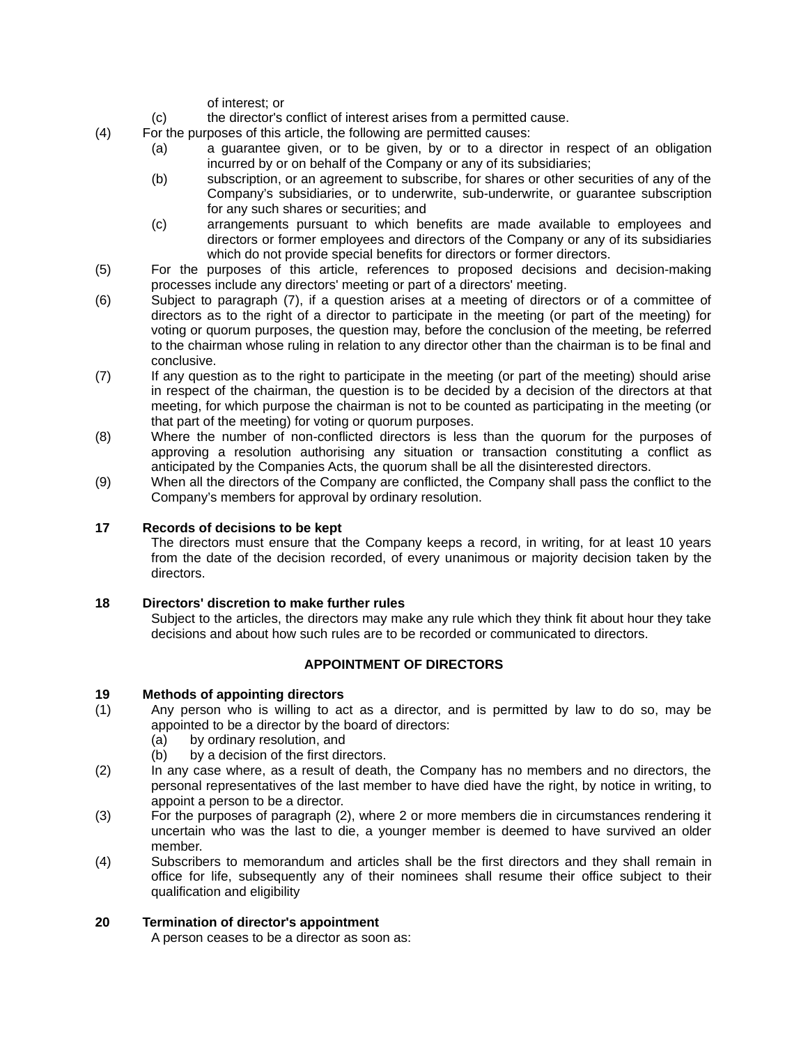of interest; or

- (c) the director's conflict of interest arises from a permitted cause.
- (4) For the purposes of this article, the following are permitted causes:
	- (a) a guarantee given, or to be given, by or to a director in respect of an obligation incurred by or on behalf of the Company or any of its subsidiaries;
	- (b) subscription, or an agreement to subscribe, for shares or other securities of any of the Company's subsidiaries, or to underwrite, sub-underwrite, or guarantee subscription for any such shares or securities; and
	- (c) arrangements pursuant to which benefits are made available to employees and directors or former employees and directors of the Company or any of its subsidiaries which do not provide special benefits for directors or former directors.
- (5) For the purposes of this article, references to proposed decisions and decision-making processes include any directors' meeting or part of a directors' meeting.
- (6) Subject to paragraph (7), if a question arises at a meeting of directors or of a committee of directors as to the right of a director to participate in the meeting (or part of the meeting) for voting or quorum purposes, the question may, before the conclusion of the meeting, be referred to the chairman whose ruling in relation to any director other than the chairman is to be final and conclusive.
- (7) If any question as to the right to participate in the meeting (or part of the meeting) should arise in respect of the chairman, the question is to be decided by a decision of the directors at that meeting, for which purpose the chairman is not to be counted as participating in the meeting (or that part of the meeting) for voting or quorum purposes.
- (8) Where the number of non-conflicted directors is less than the quorum for the purposes of approving a resolution authorising any situation or transaction constituting a conflict as anticipated by the Companies Acts, the quorum shall be all the disinterested directors.
- (9) When all the directors of the Company are conflicted, the Company shall pass the conflict to the Company's members for approval by ordinary resolution.

#### **17 Records of decisions to be kept**

The directors must ensure that the Company keeps a record, in writing, for at least 10 years from the date of the decision recorded, of every unanimous or majority decision taken by the directors.

#### **18 Directors' discretion to make further rules**

Subject to the articles, the directors may make any rule which they think fit about hour they take decisions and about how such rules are to be recorded or communicated to directors.

#### **APPOINTMENT OF DIRECTORS**

#### **19 Methods of appointing directors**

- (1) Any person who is willing to act as a director, and is permitted by law to do so, may be appointed to be a director by the board of directors:
	- (a) by ordinary resolution, and
	- (b) by a decision of the first directors.
- (2) In any case where, as a result of death, the Company has no members and no directors, the personal representatives of the last member to have died have the right, by notice in writing, to appoint a person to be a director.
- (3) For the purposes of paragraph (2), where 2 or more members die in circumstances rendering it uncertain who was the last to die, a younger member is deemed to have survived an older member.
- (4) Subscribers to memorandum and articles shall be the first directors and they shall remain in office for life, subsequently any of their nominees shall resume their office subject to their qualification and eligibility

#### **20 Termination of director's appointment**

A person ceases to be a director as soon as: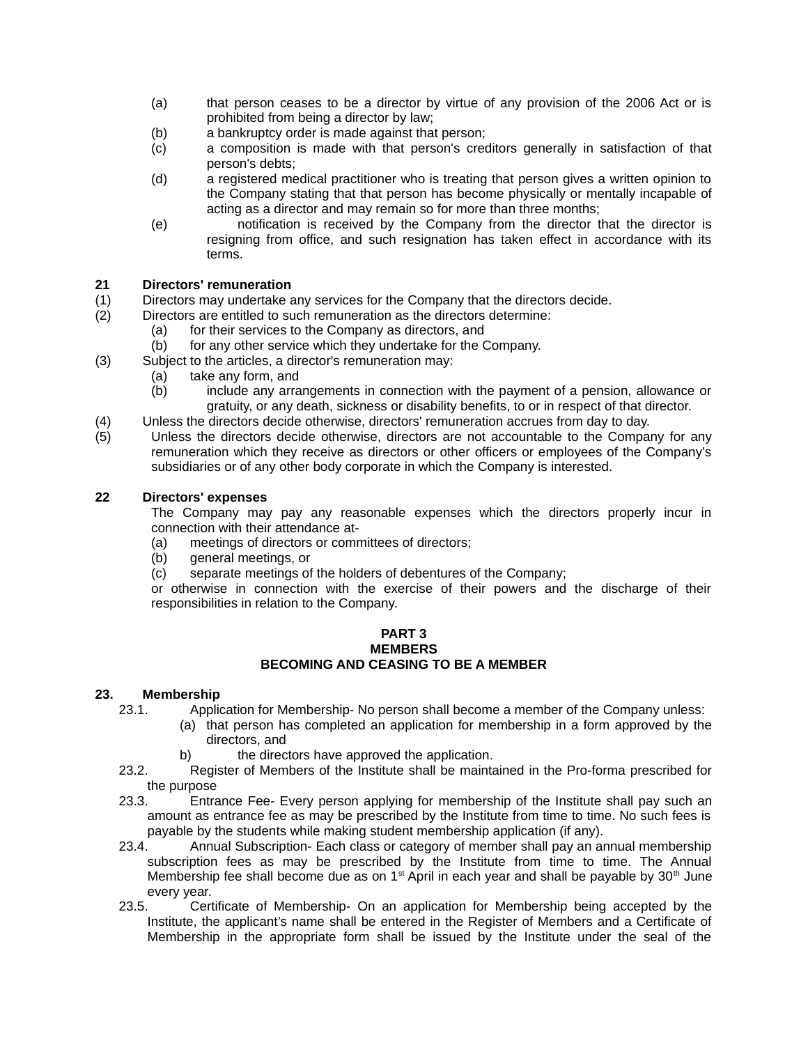- (a) that person ceases to be a director by virtue of any provision of the 2006 Act or is prohibited from being a director by law;
- (b) a bankruptcy order is made against that person;
- (c) a composition is made with that person's creditors generally in satisfaction of that person's debts;
- (d) a registered medical practitioner who is treating that person gives a written opinion to the Company stating that that person has become physically or mentally incapable of acting as a director and may remain so for more than three months;
- (e) notification is received by the Company from the director that the director is resigning from office, and such resignation has taken effect in accordance with its terms.

#### **21 Directors' remuneration**

- (1) Directors may undertake any services for the Company that the directors decide.
- (2) Directors are entitled to such remuneration as the directors determine:
	- (a) for their services to the Company as directors, and
	- (b) for any other service which they undertake for the Company.
- (3) Subject to the articles, a director's remuneration may:
	- (a) take any form, and<br>(b) include any arra
		- include any arrangements in connection with the payment of a pension, allowance or gratuity, or any death, sickness or disability benefits, to or in respect of that director.
- (4) Unless the directors decide otherwise, directors' remuneration accrues from day to day.<br>(5) Unless the directors decide otherwise, directors are not accountable to the Compar
- Unless the directors decide otherwise, directors are not accountable to the Company for any remuneration which they receive as directors or other officers or employees of the Company's subsidiaries or of any other body corporate in which the Company is interested.

#### **22 Directors' expenses**

The Company may pay any reasonable expenses which the directors properly incur in connection with their attendance at-

- (a) meetings of directors or committees of directors;
- (b) general meetings, or
- (c) separate meetings of the holders of debentures of the Company;

or otherwise in connection with the exercise of their powers and the discharge of their responsibilities in relation to the Company.

#### **PART 3 MEMBERS BECOMING AND CEASING TO BE A MEMBER**

#### **23. Membership**

- 23.1. Application for Membership- No person shall become a member of the Company unless:
	- (a) that person has completed an application for membership in a form approved by the directors, and
		- b) the directors have approved the application.
- 23.2. Register of Members of the Institute shall be maintained in the Pro-forma prescribed for the purpose
- 23.3. Entrance Fee- Every person applying for membership of the Institute shall pay such an amount as entrance fee as may be prescribed by the Institute from time to time. No such fees is payable by the students while making student membership application (if any).
- 23.4. Annual Subscription- Each class or category of member shall pay an annual membership subscription fees as may be prescribed by the Institute from time to time. The Annual Membership fee shall become due as on  $1<sup>st</sup>$  April in each year and shall be payable by 30<sup>th</sup> June every year.
- 23.5. Certificate of Membership- On an application for Membership being accepted by the Institute, the applicant's name shall be entered in the Register of Members and a Certificate of Membership in the appropriate form shall be issued by the Institute under the seal of the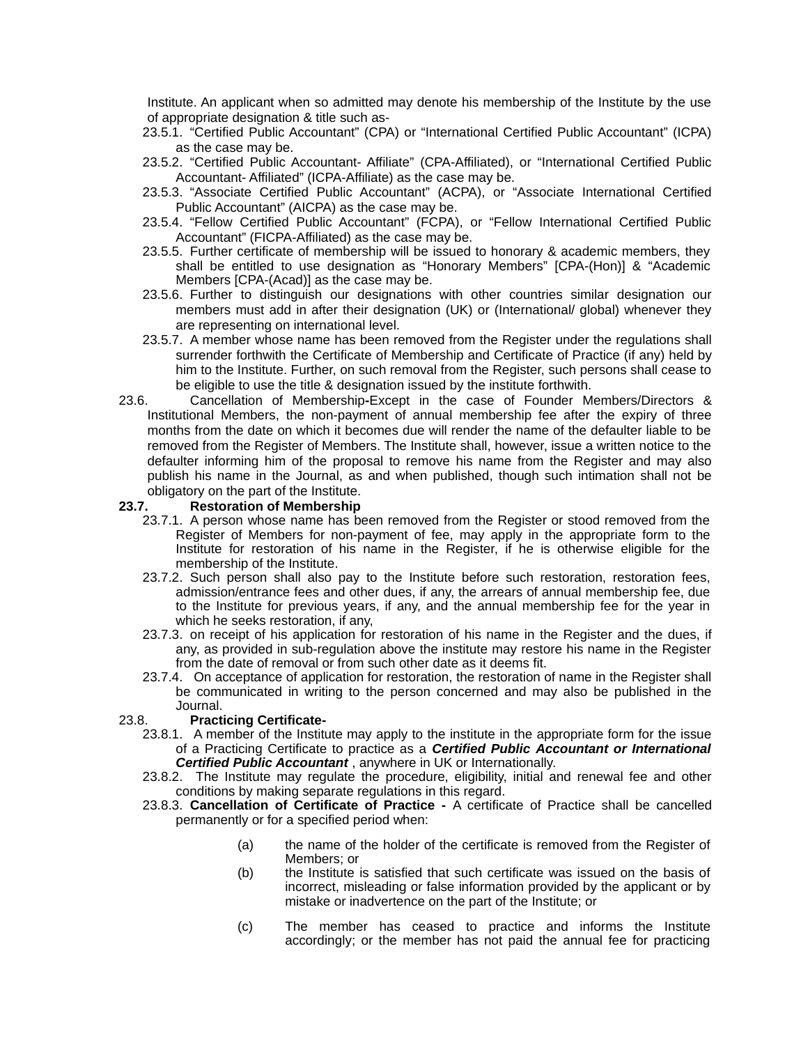Institute. An applicant when so admitted may denote his membership of the Institute by the use of appropriate designation & title such as-

- 23.5.1. "Certified Public Accountant" (CPA) or "International Certified Public Accountant" (ICPA) as the case may be.
- 23.5.2. "Certified Public Accountant- Affiliate" (CPA-Affiliated), or "International Certified Public Accountant- Affiliated" (ICPA-Affiliate) as the case may be.
- 23.5.3. "Associate Certified Public Accountant" (ACPA), or "Associate International Certified Public Accountant" (AICPA) as the case may be.
- 23.5.4. "Fellow Certified Public Accountant" (FCPA), or "Fellow International Certified Public Accountant" (FICPA-Affiliated) as the case may be.
- 23.5.5. Further certificate of membership will be issued to honorary & academic members, they shall be entitled to use designation as "Honorary Members" [CPA-(Hon)] & "Academic Members [CPA-(Acad)] as the case may be.
- 23.5.6. Further to distinguish our designations with other countries similar designation our members must add in after their designation (UK) or (International/ global) whenever they are representing on international level.
- 23.5.7. A member whose name has been removed from the Register under the regulations shall surrender forthwith the Certificate of Membership and Certificate of Practice (if any) held by him to the Institute. Further, on such removal from the Register, such persons shall cease to be eligible to use the title & designation issued by the institute forthwith.
- 23.6. Cancellation of Membership**-**Except in the case of Founder Members/Directors & Institutional Members, the non-payment of annual membership fee after the expiry of three months from the date on which it becomes due will render the name of the defaulter liable to be removed from the Register of Members. The Institute shall, however, issue a written notice to the defaulter informing him of the proposal to remove his name from the Register and may also publish his name in the Journal, as and when published, though such intimation shall not be obligatory on the part of the Institute.

#### **23.7. Restoration of Membership**

- 23.7.1. A person whose name has been removed from the Register or stood removed from the Register of Members for non-payment of fee, may apply in the appropriate form to the Institute for restoration of his name in the Register, if he is otherwise eligible for the membership of the Institute.
- 23.7.2. Such person shall also pay to the Institute before such restoration, restoration fees, admission/entrance fees and other dues, if any, the arrears of annual membership fee, due to the Institute for previous years, if any, and the annual membership fee for the year in which he seeks restoration, if any,
- 23.7.3. on receipt of his application for restoration of his name in the Register and the dues, if any, as provided in sub-regulation above the institute may restore his name in the Register from the date of removal or from such other date as it deems fit.
- 23.7.4. On acceptance of application for restoration, the restoration of name in the Register shall be communicated in writing to the person concerned and may also be published in the Journal.

#### 23.8. **Practicing Certificate-**

- 23.8.1. A member of the Institute may apply to the institute in the appropriate form for the issue of a Practicing Certificate to practice as a *Certified Public Accountant or International Certified Public Accountant* , anywhere in UK or Internationally.
- 23.8.2. The Institute may regulate the procedure, eligibility, initial and renewal fee and other conditions by making separate regulations in this regard.
- 23.8.3. **Cancellation of Certificate of Practice** A certificate of Practice shall be cancelled permanently or for a specified period when:
	- (a) the name of the holder of the certificate is removed from the Register of Members; or
	- (b) the Institute is satisfied that such certificate was issued on the basis of incorrect, misleading or false information provided by the applicant or by mistake or inadvertence on the part of the Institute; or
	- (c) The member has ceased to practice and informs the Institute accordingly; or the member has not paid the annual fee for practicing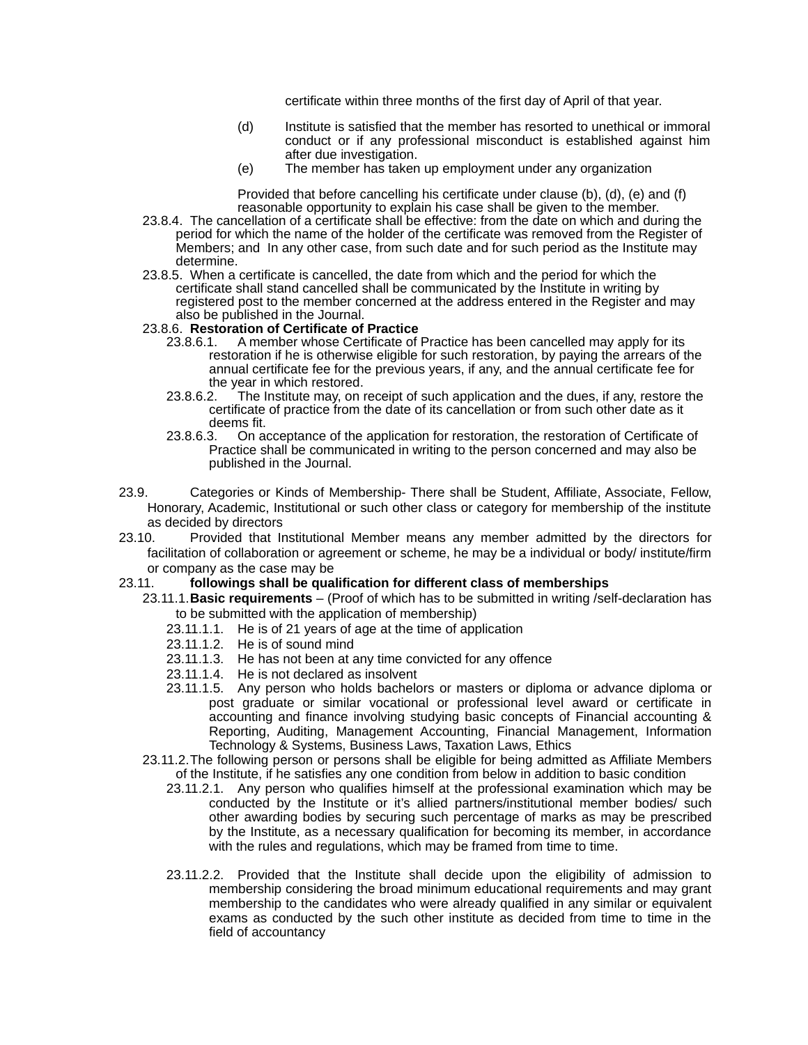certificate within three months of the first day of April of that year.

- (d) Institute is satisfied that the member has resorted to unethical or immoral conduct or if any professional misconduct is established against him after due investigation.
- (e) The member has taken up employment under any organization

Provided that before cancelling his certificate under clause (b), (d), (e) and (f) reasonable opportunity to explain his case shall be given to the member.

- 23.8.4. The cancellation of a certificate shall be effective: from the date on which and during the period for which the name of the holder of the certificate was removed from the Register of Members; and In any other case, from such date and for such period as the Institute may determine.
- 23.8.5. When a certificate is cancelled, the date from which and the period for which the certificate shall stand cancelled shall be communicated by the Institute in writing by registered post to the member concerned at the address entered in the Register and may also be published in the Journal.

# 23.8.6. **Restoration of Certificate of Practice**

- A member whose Certificate of Practice has been cancelled may apply for its restoration if he is otherwise eligible for such restoration, by paying the arrears of the annual certificate fee for the previous years, if any, and the annual certificate fee for the year in which restored.
- 23.8.6.2. The Institute may, on receipt of such application and the dues, if any, restore the certificate of practice from the date of its cancellation or from such other date as it deems fit.<br>23.8.6.3. On a
- 23.8.6.3. On acceptance of the application for restoration, the restoration of Certificate of Practice shall be communicated in writing to the person concerned and may also be published in the Journal.
- 23.9. Categories or Kinds of Membership- There shall be Student, Affiliate, Associate, Fellow, Honorary, Academic, Institutional or such other class or category for membership of the institute as decided by directors
- 23.10. Provided that Institutional Member means any member admitted by the directors for facilitation of collaboration or agreement or scheme, he may be a individual or body/ institute/firm or company as the case may be

#### 23.11. **followings shall be qualification for different class of memberships**

- 23.11.1.**Basic requirements** (Proof of which has to be submitted in writing /self-declaration has to be submitted with the application of membership)
	- 23.11.1.1. He is of 21 years of age at the time of application
	- 23.11.1.2. He is of sound mind
	- 23.11.1.3. He has not been at any time convicted for any offence
	- 23.11.1.4. He is not declared as insolvent
	- 23.11.1.5. Any person who holds bachelors or masters or diploma or advance diploma or post graduate or similar vocational or professional level award or certificate in accounting and finance involving studying basic concepts of Financial accounting & Reporting, Auditing, Management Accounting, Financial Management, Information Technology & Systems, Business Laws, Taxation Laws, Ethics
	- 23.11.2.The following person or persons shall be eligible for being admitted as Affiliate Members of the Institute, if he satisfies any one condition from below in addition to basic condition
		- 23.11.2.1. Any person who qualifies himself at the professional examination which may be conducted by the Institute or it's allied partners/institutional member bodies/ such other awarding bodies by securing such percentage of marks as may be prescribed by the Institute, as a necessary qualification for becoming its member, in accordance with the rules and regulations, which may be framed from time to time.
		- 23.11.2.2. Provided that the Institute shall decide upon the eligibility of admission to membership considering the broad minimum educational requirements and may grant membership to the candidates who were already qualified in any similar or equivalent exams as conducted by the such other institute as decided from time to time in the field of accountancy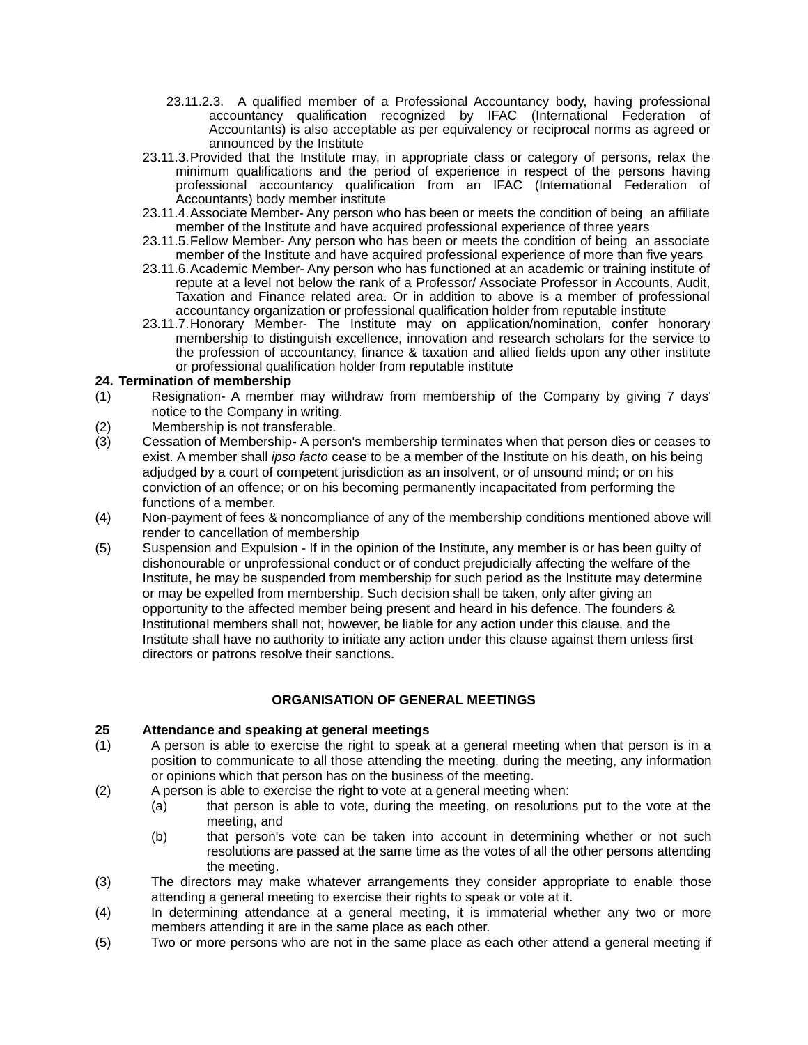- 23.11.2.3. A qualified member of a Professional Accountancy body, having professional accountancy qualification recognized by IFAC (International Federation of Accountants) is also acceptable as per equivalency or reciprocal norms as agreed or announced by the Institute
- 23.11.3.Provided that the Institute may, in appropriate class or category of persons, relax the minimum qualifications and the period of experience in respect of the persons having professional accountancy qualification from an IFAC (International Federation of Accountants) body member institute
- 23.11.4.Associate Member- Any person who has been or meets the condition of being an affiliate member of the Institute and have acquired professional experience of three years
- 23.11.5.Fellow Member- Any person who has been or meets the condition of being an associate member of the Institute and have acquired professional experience of more than five years
- 23.11.6.Academic Member- Any person who has functioned at an academic or training institute of repute at a level not below the rank of a Professor/ Associate Professor in Accounts, Audit, Taxation and Finance related area. Or in addition to above is a member of professional accountancy organization or professional qualification holder from reputable institute
- 23.11.7.Honorary Member- The Institute may on application/nomination, confer honorary membership to distinguish excellence, innovation and research scholars for the service to the profession of accountancy, finance & taxation and allied fields upon any other institute or professional qualification holder from reputable institute

#### **24. Termination of membership**

- (1) Resignation- A member may withdraw from membership of the Company by giving 7 days' notice to the Company in writing.
- (2) Membership is not transferable.
- (3) Cessation of MembershipA person's membership terminates when that person dies or ceases to exist. A member shall *ipso facto* cease to be a member of the Institute on his death, on his being adjudged by a court of competent jurisdiction as an insolvent, or of unsound mind; or on his conviction of an offence; or on his becoming permanently incapacitated from performing the functions of a member.
- (4) Non-payment of fees & noncompliance of any of the membership conditions mentioned above will render to cancellation of membership
- (5) Suspension and Expulsion If in the opinion of the Institute, any member is or has been guilty of dishonourable or unprofessional conduct or of conduct prejudicially affecting the welfare of the Institute, he may be suspended from membership for such period as the Institute may determine or may be expelled from membership. Such decision shall be taken, only after giving an opportunity to the affected member being present and heard in his defence. The founders & Institutional members shall not, however, be liable for any action under this clause, and the Institute shall have no authority to initiate any action under this clause against them unless first directors or patrons resolve their sanctions.

#### **ORGANISATION OF GENERAL MEETINGS**

#### **25 Attendance and speaking at general meetings**

- (1) A person is able to exercise the right to speak at a general meeting when that person is in a position to communicate to all those attending the meeting, during the meeting, any information or opinions which that person has on the business of the meeting.
- (2) A person is able to exercise the right to vote at a general meeting when:
	- (a) that person is able to vote, during the meeting, on resolutions put to the vote at the meeting, and
	- (b) that person's vote can be taken into account in determining whether or not such resolutions are passed at the same time as the votes of all the other persons attending the meeting.
- (3) The directors may make whatever arrangements they consider appropriate to enable those attending a general meeting to exercise their rights to speak or vote at it.
- (4) In determining attendance at a general meeting, it is immaterial whether any two or more members attending it are in the same place as each other.
- (5) Two or more persons who are not in the same place as each other attend a general meeting if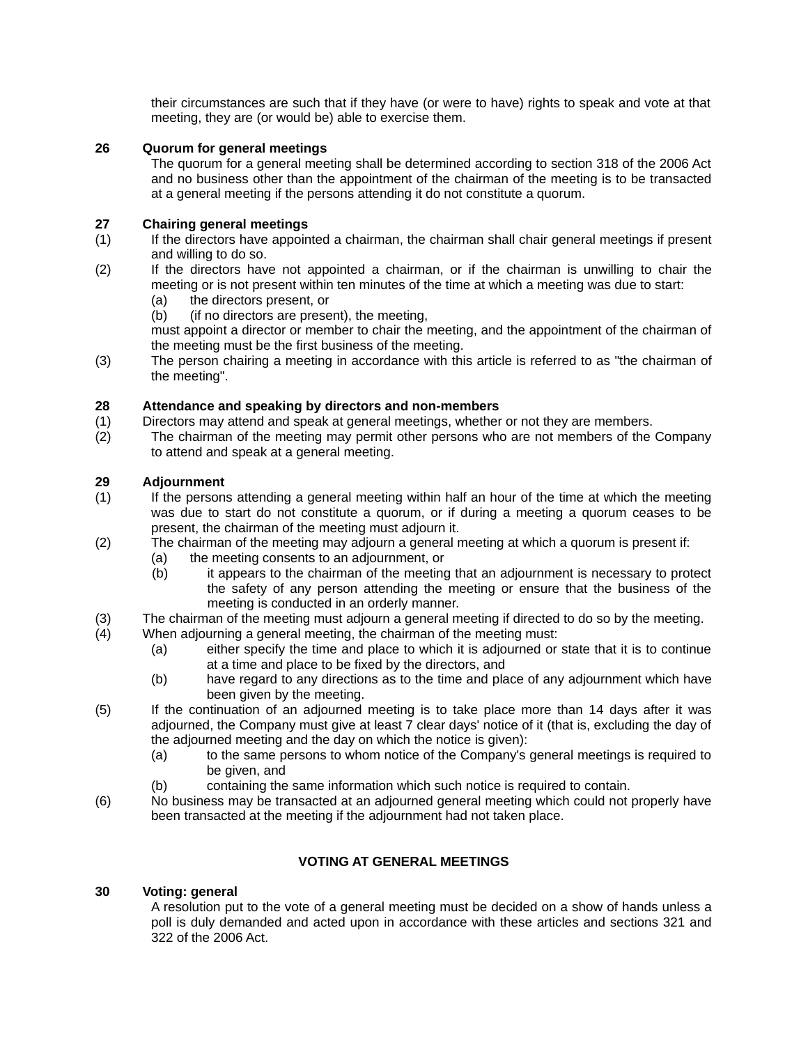their circumstances are such that if they have (or were to have) rights to speak and vote at that meeting, they are (or would be) able to exercise them.

#### **26 Quorum for general meetings**

The quorum for a general meeting shall be determined according to section 318 of the 2006 Act and no business other than the appointment of the chairman of the meeting is to be transacted at a general meeting if the persons attending it do not constitute a quorum.

#### **27 Chairing general meetings**

- (1) If the directors have appointed a chairman, the chairman shall chair general meetings if present and willing to do so.
- (2) If the directors have not appointed a chairman, or if the chairman is unwilling to chair the meeting or is not present within ten minutes of the time at which a meeting was due to start:
	- (a) the directors present, or<br>(b) (if no directors are prese
	- (if no directors are present), the meeting,

must appoint a director or member to chair the meeting, and the appointment of the chairman of the meeting must be the first business of the meeting.

(3) The person chairing a meeting in accordance with this article is referred to as "the chairman of the meeting".

#### **28 Attendance and speaking by directors and non-members**

- (1) Directors may attend and speak at general meetings, whether or not they are members.<br>(2) The chairman of the meeting may permit other persons who are not members of the
- The chairman of the meeting may permit other persons who are not members of the Company to attend and speak at a general meeting.

#### **29 Adjournment**

- (1) If the persons attending a general meeting within half an hour of the time at which the meeting was due to start do not constitute a quorum, or if during a meeting a quorum ceases to be present, the chairman of the meeting must adjourn it.
- (2) The chairman of the meeting may adjourn a general meeting at which a quorum is present if:
	- (a) the meeting consents to an adjournment, or
	- (b) it appears to the chairman of the meeting that an adjournment is necessary to protect the safety of any person attending the meeting or ensure that the business of the meeting is conducted in an orderly manner.
- (3) The chairman of the meeting must adjourn a general meeting if directed to do so by the meeting.
- (4) When adjourning a general meeting, the chairman of the meeting must:
	- (a) either specify the time and place to which it is adjourned or state that it is to continue at a time and place to be fixed by the directors, and
	- (b) have regard to any directions as to the time and place of any adjournment which have been given by the meeting.
- (5) If the continuation of an adjourned meeting is to take place more than 14 days after it was adjourned, the Company must give at least 7 clear days' notice of it (that is, excluding the day of the adjourned meeting and the day on which the notice is given):
	- (a) to the same persons to whom notice of the Company's general meetings is required to be given, and
	- (b) containing the same information which such notice is required to contain.
- (6) No business may be transacted at an adjourned general meeting which could not properly have been transacted at the meeting if the adjournment had not taken place.

#### **VOTING AT GENERAL MEETINGS**

#### **30 Voting: general**

A resolution put to the vote of a general meeting must be decided on a show of hands unless a poll is duly demanded and acted upon in accordance with these articles and sections 321 and 322 of the 2006 Act.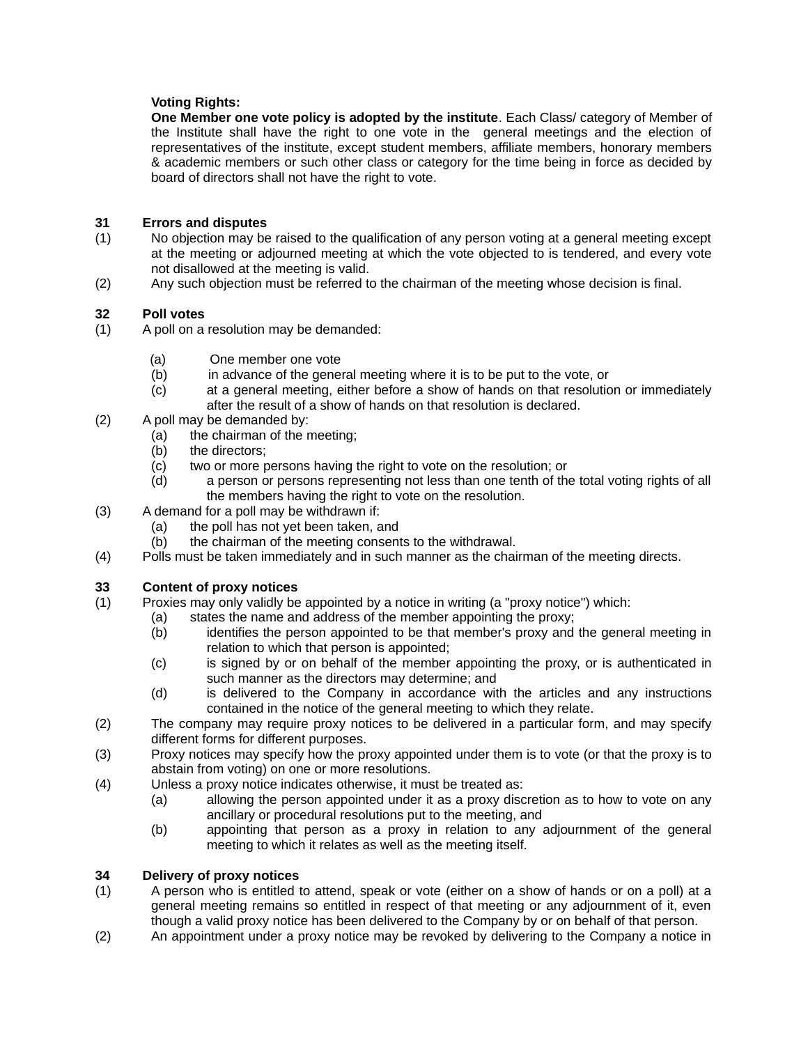#### **Voting Rights:**

**One Member one vote policy is adopted by the institute**. Each Class/ category of Member of the Institute shall have the right to one vote in the general meetings and the election of representatives of the institute, except student members, affiliate members, honorary members & academic members or such other class or category for the time being in force as decided by board of directors shall not have the right to vote.

#### **31 Errors and disputes**

- (1) No objection may be raised to the qualification of any person voting at a general meeting except at the meeting or adjourned meeting at which the vote objected to is tendered, and every vote not disallowed at the meeting is valid.
- (2) Any such objection must be referred to the chairman of the meeting whose decision is final.

#### **32 Poll votes**

- (1) A poll on a resolution may be demanded:
	- (a) One member one vote
	- (b) in advance of the general meeting where it is to be put to the vote, or
	- (c) at a general meeting, either before a show of hands on that resolution or immediately after the result of a show of hands on that resolution is declared.
- (2) A poll may be demanded by:
	- (a) the chairman of the meeting;
	- (b) the directors;
	- (c) two or more persons having the right to vote on the resolution; or
	- (d) a person or persons representing not less than one tenth of the total voting rights of all the members having the right to vote on the resolution.
- (3) A demand for a poll may be withdrawn if:
	- (a) the poll has not yet been taken, and
	- (b) the chairman of the meeting consents to the withdrawal.
- (4) Polls must be taken immediately and in such manner as the chairman of the meeting directs.

#### **33 Content of proxy notices**

- (1) Proxies may only validly be appointed by a notice in writing (a "proxy notice") which:
	- (a) states the name and address of the member appointing the proxy;
	- (b) identifies the person appointed to be that member's proxy and the general meeting in relation to which that person is appointed;
	- (c) is signed by or on behalf of the member appointing the proxy, or is authenticated in such manner as the directors may determine; and
	- (d) is delivered to the Company in accordance with the articles and any instructions contained in the notice of the general meeting to which they relate.
- (2) The company may require proxy notices to be delivered in a particular form, and may specify different forms for different purposes.
- (3) Proxy notices may specify how the proxy appointed under them is to vote (or that the proxy is to abstain from voting) on one or more resolutions.
- (4) Unless a proxy notice indicates otherwise, it must be treated as:
	- (a) allowing the person appointed under it as a proxy discretion as to how to vote on any ancillary or procedural resolutions put to the meeting, and
	- (b) appointing that person as a proxy in relation to any adjournment of the general meeting to which it relates as well as the meeting itself.

#### **34 Delivery of proxy notices**

- (1) A person who is entitled to attend, speak or vote (either on a show of hands or on a poll) at a general meeting remains so entitled in respect of that meeting or any adjournment of it, even though a valid proxy notice has been delivered to the Company by or on behalf of that person.
- (2) An appointment under a proxy notice may be revoked by delivering to the Company a notice in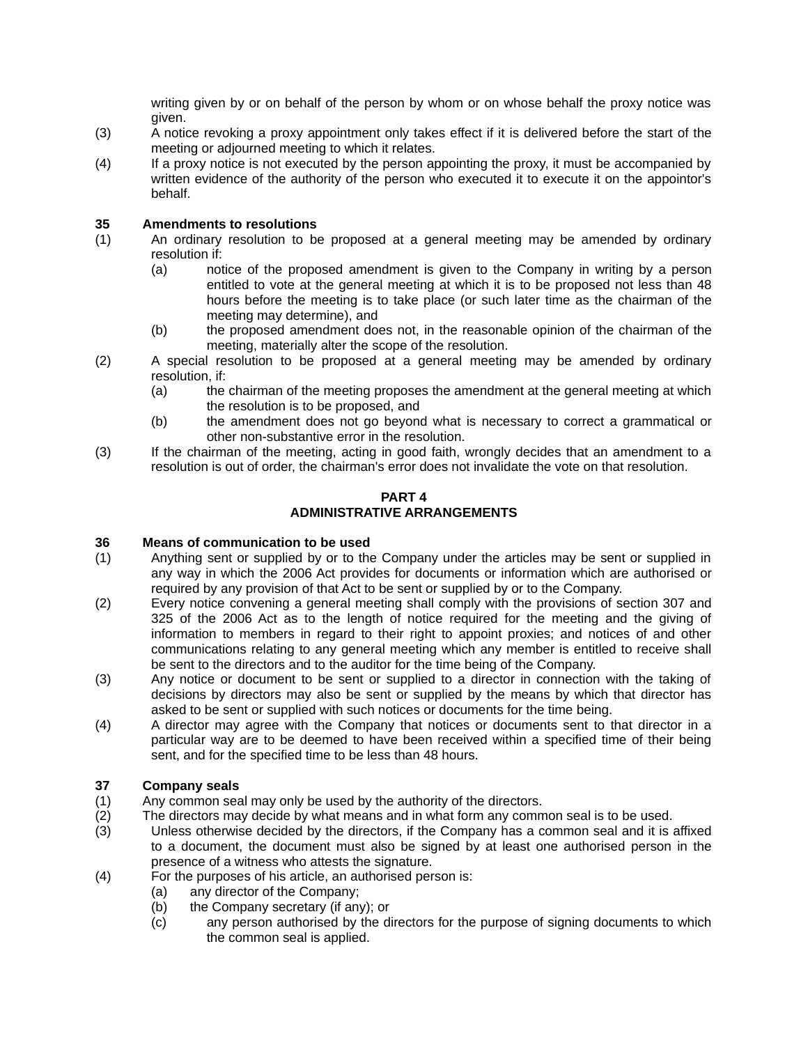writing given by or on behalf of the person by whom or on whose behalf the proxy notice was given.

- (3) A notice revoking a proxy appointment only takes effect if it is delivered before the start of the meeting or adjourned meeting to which it relates.
- (4) If a proxy notice is not executed by the person appointing the proxy, it must be accompanied by written evidence of the authority of the person who executed it to execute it on the appointor's behalf.

#### **35 Amendments to resolutions**

- (1) An ordinary resolution to be proposed at a general meeting may be amended by ordinary resolution if:
	- (a) notice of the proposed amendment is given to the Company in writing by a person entitled to vote at the general meeting at which it is to be proposed not less than 48 hours before the meeting is to take place (or such later time as the chairman of the meeting may determine), and
	- (b) the proposed amendment does not, in the reasonable opinion of the chairman of the meeting, materially alter the scope of the resolution.
- (2) A special resolution to be proposed at a general meeting may be amended by ordinary resolution, if:
	- (a) the chairman of the meeting proposes the amendment at the general meeting at which the resolution is to be proposed, and
	- (b) the amendment does not go beyond what is necessary to correct a grammatical or other non-substantive error in the resolution.
- (3) If the chairman of the meeting, acting in good faith, wrongly decides that an amendment to a resolution is out of order, the chairman's error does not invalidate the vote on that resolution.

#### **PART 4 ADMINISTRATIVE ARRANGEMENTS**

#### **36 Means of communication to be used**

- (1) Anything sent or supplied by or to the Company under the articles may be sent or supplied in any way in which the 2006 Act provides for documents or information which are authorised or required by any provision of that Act to be sent or supplied by or to the Company.
- (2) Every notice convening a general meeting shall comply with the provisions of section 307 and 325 of the 2006 Act as to the length of notice required for the meeting and the giving of information to members in regard to their right to appoint proxies; and notices of and other communications relating to any general meeting which any member is entitled to receive shall be sent to the directors and to the auditor for the time being of the Company.
- (3) Any notice or document to be sent or supplied to a director in connection with the taking of decisions by directors may also be sent or supplied by the means by which that director has asked to be sent or supplied with such notices or documents for the time being.
- (4) A director may agree with the Company that notices or documents sent to that director in a particular way are to be deemed to have been received within a specified time of their being sent, and for the specified time to be less than 48 hours.

#### **37 Company seals**

- (1) Any common seal may only be used by the authority of the directors.
- (2) The directors may decide by what means and in what form any common seal is to be used.
- (3) Unless otherwise decided by the directors, if the Company has a common seal and it is affixed to a document, the document must also be signed by at least one authorised person in the presence of a witness who attests the signature.
- (4) For the purposes of his article, an authorised person is:
	- (a) any director of the Company;
	- (b) the Company secretary (if any); or
	- (c) any person authorised by the directors for the purpose of signing documents to which the common seal is applied.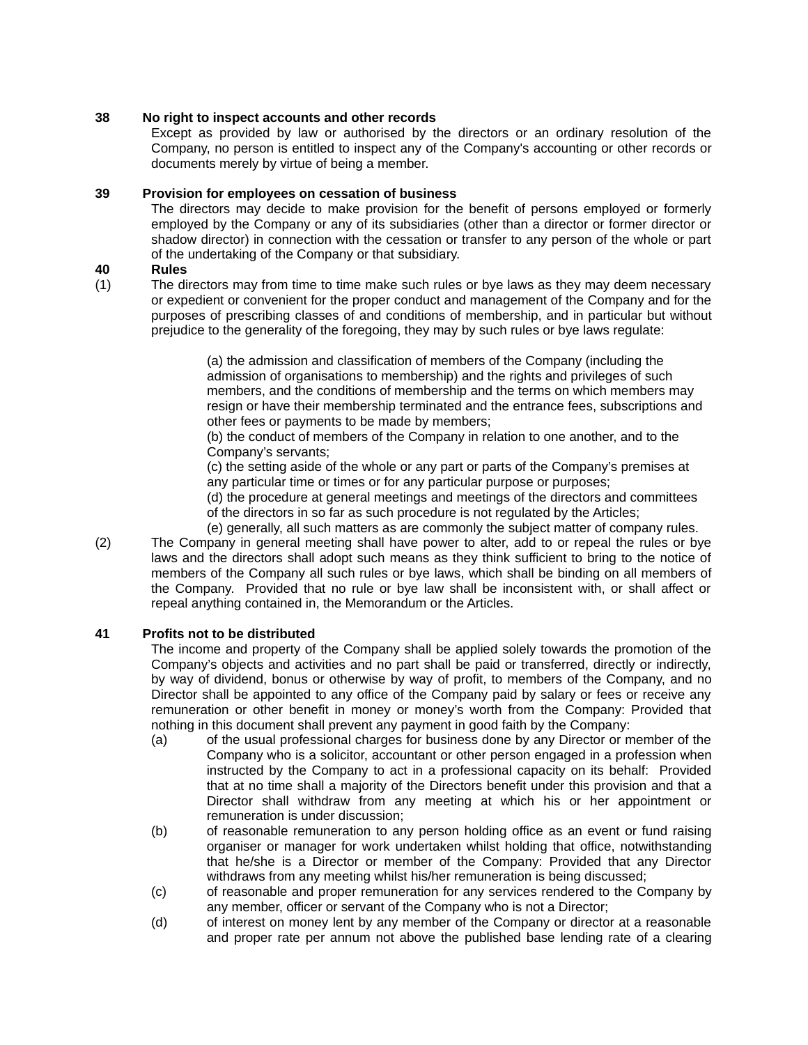#### **38 No right to inspect accounts and other records**

Except as provided by law or authorised by the directors or an ordinary resolution of the Company, no person is entitled to inspect any of the Company's accounting or other records or documents merely by virtue of being a member.

#### **39 Provision for employees on cessation of business**

The directors may decide to make provision for the benefit of persons employed or formerly employed by the Company or any of its subsidiaries (other than a director or former director or shadow director) in connection with the cessation or transfer to any person of the whole or part of the undertaking of the Company or that subsidiary.

#### **40 Rules**

(1) The directors may from time to time make such rules or bye laws as they may deem necessary or expedient or convenient for the proper conduct and management of the Company and for the purposes of prescribing classes of and conditions of membership, and in particular but without prejudice to the generality of the foregoing, they may by such rules or bye laws regulate:

> (a) the admission and classification of members of the Company (including the admission of organisations to membership) and the rights and privileges of such members, and the conditions of membership and the terms on which members may resign or have their membership terminated and the entrance fees, subscriptions and other fees or payments to be made by members;

(b) the conduct of members of the Company in relation to one another, and to the Company's servants;

(c) the setting aside of the whole or any part or parts of the Company's premises at any particular time or times or for any particular purpose or purposes;

(d) the procedure at general meetings and meetings of the directors and committees of the directors in so far as such procedure is not regulated by the Articles;

(e) generally, all such matters as are commonly the subject matter of company rules.

(2) The Company in general meeting shall have power to alter, add to or repeal the rules or bye laws and the directors shall adopt such means as they think sufficient to bring to the notice of members of the Company all such rules or bye laws, which shall be binding on all members of the Company. Provided that no rule or bye law shall be inconsistent with, or shall affect or repeal anything contained in, the Memorandum or the Articles.

#### **41 Profits not to be distributed**

The income and property of the Company shall be applied solely towards the promotion of the Company's objects and activities and no part shall be paid or transferred, directly or indirectly, by way of dividend, bonus or otherwise by way of profit, to members of the Company, and no Director shall be appointed to any office of the Company paid by salary or fees or receive any remuneration or other benefit in money or money's worth from the Company: Provided that nothing in this document shall prevent any payment in good faith by the Company:

- (a) of the usual professional charges for business done by any Director or member of the Company who is a solicitor, accountant or other person engaged in a profession when instructed by the Company to act in a professional capacity on its behalf: Provided that at no time shall a majority of the Directors benefit under this provision and that a Director shall withdraw from any meeting at which his or her appointment or remuneration is under discussion;
- (b) of reasonable remuneration to any person holding office as an event or fund raising organiser or manager for work undertaken whilst holding that office, notwithstanding that he/she is a Director or member of the Company: Provided that any Director withdraws from any meeting whilst his/her remuneration is being discussed;
- (c) of reasonable and proper remuneration for any services rendered to the Company by any member, officer or servant of the Company who is not a Director;
- (d) of interest on money lent by any member of the Company or director at a reasonable and proper rate per annum not above the published base lending rate of a clearing